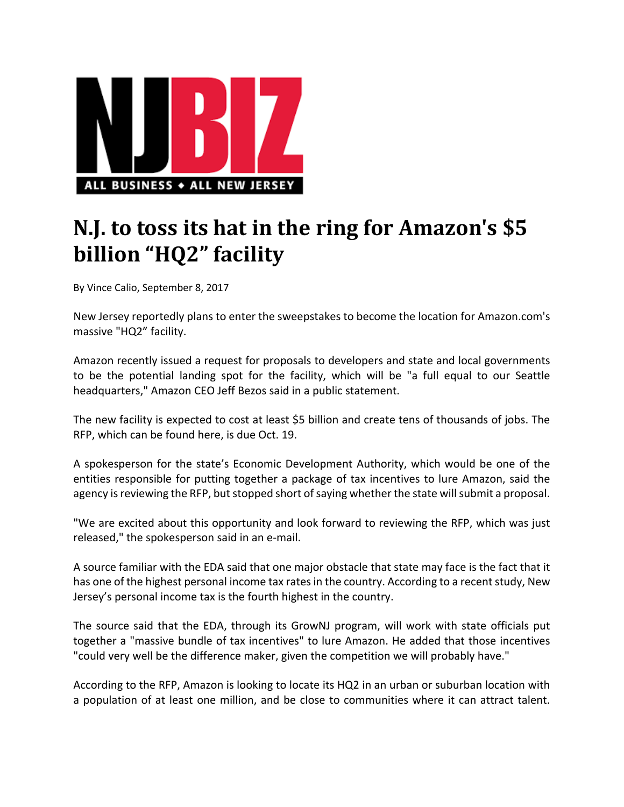

## **N.J. to toss its hat in the ring for Amazon's \$5 billion "HQ2" facility**

By Vince Calio, September 8, 2017

New Jersey reportedly plans to enter the sweepstakes to become the location for Amazon.com's massive "HQ2" facility.

Amazon recently issued a request for proposals to developers and state and local governments to be the potential landing spot for the facility, which will be "a full equal to our Seattle headquarters," Amazon CEO Jeff Bezos said in a public statement.

The new facility is expected to cost at least \$5 billion and create tens of thousands of jobs. The RFP, which can be found here, is due Oct. 19.

A spokesperson for the state's Economic Development Authority, which would be one of the entities responsible for putting together a package of tax incentives to lure Amazon, said the agency is reviewing the RFP, but stopped short of saying whether the state will submit a proposal.

"We are excited about this opportunity and look forward to reviewing the RFP, which was just released," the spokesperson said in an e‐mail.

A source familiar with the EDA said that one major obstacle that state may face is the fact that it has one of the highest personal income tax rates in the country. According to a recent study, New Jersey's personal income tax is the fourth highest in the country.

The source said that the EDA, through its GrowNJ program, will work with state officials put together a "massive bundle of tax incentives" to lure Amazon. He added that those incentives "could very well be the difference maker, given the competition we will probably have."

According to the RFP, Amazon is looking to locate its HQ2 in an urban or suburban location with a population of at least one million, and be close to communities where it can attract talent.